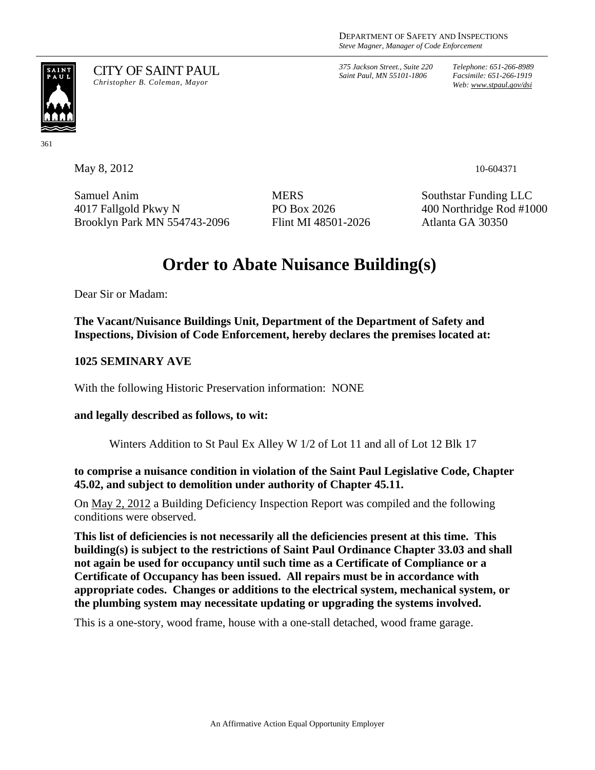*375 Jackson Street., Suite 220 Saint Paul, MN 55101-1806*

*Telephone: 651-266-8989 Facsimile: 651-266-1919 Web: www.stpaul.gov/dsi*

# SAINT<br>PAUL

361

CITY OF SAINT PAUL *Christopher B. Coleman, Mayor* 

Samuel Anim 4017 Fallgold Pkwy N Brooklyn Park MN 554743-2096 **MERS** PO Box 2026 Flint MI 48501-2026

Southstar Funding LLC 400 Northridge Rod #1000 Atlanta GA 30350

# **Order to Abate Nuisance Building(s)**

Dear Sir or Madam:

**The Vacant/Nuisance Buildings Unit, Department of the Department of Safety and Inspections, Division of Code Enforcement, hereby declares the premises located at:** 

**1025 SEMINARY AVE** 

With the following Historic Preservation information: NONE

# **and legally described as follows, to wit:**

Winters Addition to St Paul Ex Alley W 1/2 of Lot 11 and all of Lot 12 Blk 17

**to comprise a nuisance condition in violation of the Saint Paul Legislative Code, Chapter 45.02, and subject to demolition under authority of Chapter 45.11.** 

On May 2, 2012 a Building Deficiency Inspection Report was compiled and the following conditions were observed.

**This list of deficiencies is not necessarily all the deficiencies present at this time. This building(s) is subject to the restrictions of Saint Paul Ordinance Chapter 33.03 and shall not again be used for occupancy until such time as a Certificate of Compliance or a Certificate of Occupancy has been issued. All repairs must be in accordance with appropriate codes. Changes or additions to the electrical system, mechanical system, or the plumbing system may necessitate updating or upgrading the systems involved.** 

This is a one-story, wood frame, house with a one-stall detached, wood frame garage.

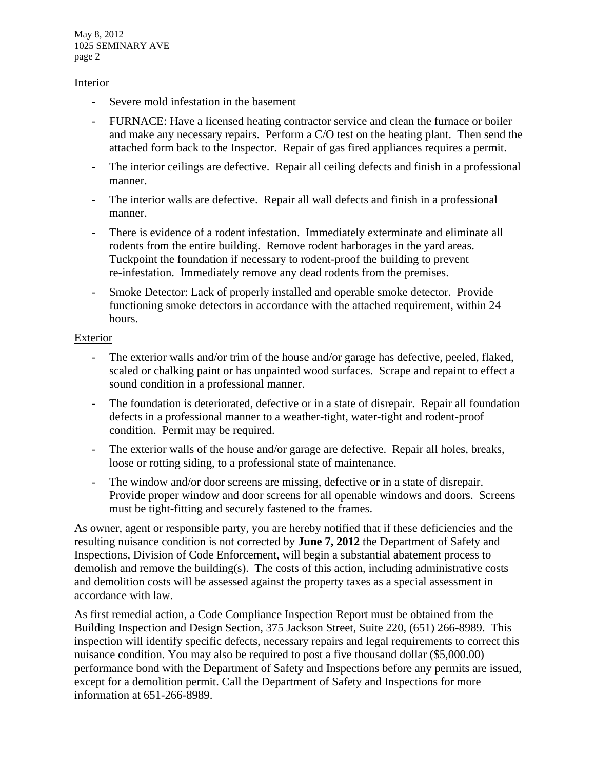May 8, 2012 1025 SEMINARY AVE page 2

#### Interior

- Severe mold infestation in the basement
- FURNACE: Have a licensed heating contractor service and clean the furnace or boiler and make any necessary repairs. Perform a C/O test on the heating plant. Then send the attached form back to the Inspector. Repair of gas fired appliances requires a permit.
- The interior ceilings are defective. Repair all ceiling defects and finish in a professional manner.
- The interior walls are defective. Repair all wall defects and finish in a professional manner.
- There is evidence of a rodent infestation. Immediately exterminate and eliminate all rodents from the entire building. Remove rodent harborages in the yard areas. Tuckpoint the foundation if necessary to rodent-proof the building to prevent re-infestation. Immediately remove any dead rodents from the premises.
- Smoke Detector: Lack of properly installed and operable smoke detector. Provide functioning smoke detectors in accordance with the attached requirement, within 24 hours.

# Exterior

- The exterior walls and/or trim of the house and/or garage has defective, peeled, flaked, scaled or chalking paint or has unpainted wood surfaces. Scrape and repaint to effect a sound condition in a professional manner.
- The foundation is deteriorated, defective or in a state of disrepair. Repair all foundation defects in a professional manner to a weather-tight, water-tight and rodent-proof condition. Permit may be required.
- The exterior walls of the house and/or garage are defective. Repair all holes, breaks, loose or rotting siding, to a professional state of maintenance.
- The window and/or door screens are missing, defective or in a state of disrepair. Provide proper window and door screens for all openable windows and doors. Screens must be tight-fitting and securely fastened to the frames.

As owner, agent or responsible party, you are hereby notified that if these deficiencies and the resulting nuisance condition is not corrected by **June 7, 2012** the Department of Safety and Inspections, Division of Code Enforcement, will begin a substantial abatement process to demolish and remove the building(s). The costs of this action, including administrative costs and demolition costs will be assessed against the property taxes as a special assessment in accordance with law.

As first remedial action, a Code Compliance Inspection Report must be obtained from the Building Inspection and Design Section, 375 Jackson Street, Suite 220, (651) 266-8989. This inspection will identify specific defects, necessary repairs and legal requirements to correct this nuisance condition. You may also be required to post a five thousand dollar (\$5,000.00) performance bond with the Department of Safety and Inspections before any permits are issued, except for a demolition permit. Call the Department of Safety and Inspections for more information at 651-266-8989.